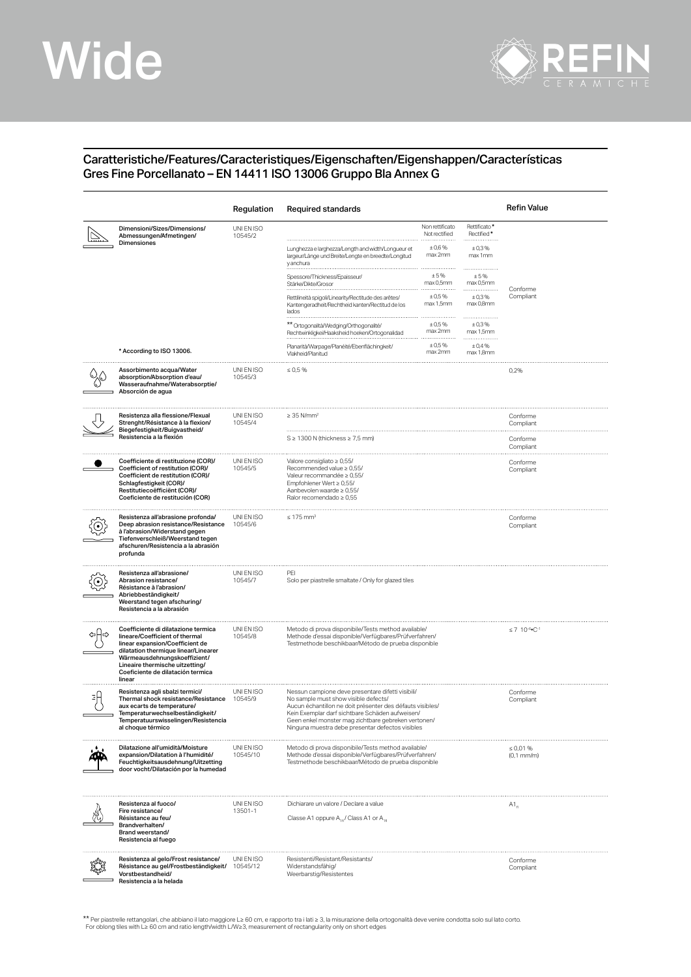## Wide



## Caratteristiche/Features/Caracteristiques/Eigenschaften/Eigenshappen/Características Gres Fine Porcellanato – EN 14411 ISO 13006 Gruppo Bla Annex G

|                                                                                                                                                                                                                                                                    | Regulation             | Required standards                                                                                                                                                                                                                                                                                                   |                                                      |                                                | Refin Value                       |
|--------------------------------------------------------------------------------------------------------------------------------------------------------------------------------------------------------------------------------------------------------------------|------------------------|----------------------------------------------------------------------------------------------------------------------------------------------------------------------------------------------------------------------------------------------------------------------------------------------------------------------|------------------------------------------------------|------------------------------------------------|-----------------------------------|
| Dimensioni/Sizes/Dimensions/<br>Abmessungen/Afmetingen/<br>Dimensiones                                                                                                                                                                                             | UNI EN ISO<br>10545/2  | Lunghezza e larghezza/Length and width/Longueur et<br>largeur/Länge und Breite/Lengte en breedte/Longitud                                                                                                                                                                                                            | Non rettificato<br>Not rectified<br>±0,6%<br>max 2mm | Rettificato*<br>Rectified*<br>±0,3%<br>max 1mm |                                   |
|                                                                                                                                                                                                                                                                    |                        | y anchura<br>Spessore/Thickness/Epaisseur.<br>Stärke/Dikte/Grosor                                                                                                                                                                                                                                                    | ±5%<br>max 0,5mm                                     | ± 5%<br>max 0.5mm                              |                                   |
|                                                                                                                                                                                                                                                                    |                        | Rettilineità spigoli/Linearity/Rectitude des arêtes/<br>Kantengeradheit/Rechtheid kanten/Rectitud de los<br>lados                                                                                                                                                                                                    | ± 0.5%<br>max 1,5mm                                  | ±0,3%<br>max 0,8mm                             | Conforme<br>Compliant             |
|                                                                                                                                                                                                                                                                    |                        | ** Ortogonalità/Wedging/Orthogonalité/<br>Rechtwinkligkei/Haaksheid hoeken/Ortogonalidad                                                                                                                                                                                                                             | $± 0.5\%$<br>max 2mm                                 | .<br>±0,3%<br>max 1,5mm                        |                                   |
| * According to ISO 13006.                                                                                                                                                                                                                                          |                        | Planarità/Warpage/Planéité/Ebenflächingkeit/<br>Vlakheid/Planitud                                                                                                                                                                                                                                                    | ± 0.5%<br>max 2mm                                    | ± 0,4%<br>max 1,8mm                            |                                   |
| Assorbimento acqua/Water<br>absorption/Absorption d'eau/<br>Wasseraufnahme/Waterabsorptie/<br>Absorción de agua                                                                                                                                                    | UNI EN ISO<br>10545/3  | $\leq 0.5 \%$                                                                                                                                                                                                                                                                                                        |                                                      |                                                | 0,2%                              |
| Resistenza alla flessione/Flexual<br>Strenght/Résistance à la flexion/<br>Biegefestigkeit/Buigvastheid/<br>Resistencia a la flexión                                                                                                                                | UNI EN ISO<br>10545/4  | $\geq$ 35 N/mm <sup>2</sup>                                                                                                                                                                                                                                                                                          |                                                      |                                                | Conforme<br>Compliant             |
|                                                                                                                                                                                                                                                                    |                        | $S \geq 1300$ N (thickness $\geq 7.5$ mm)                                                                                                                                                                                                                                                                            |                                                      |                                                | Conforme<br>Compliant             |
| Coefficiente di restituzione (COR)/<br>Coefficient of restitution (COR)/<br>Coefficient de restitution (COR)/<br>Schlagfestigkeit (COR)/<br>Restitutiecoëfficiënt (COR)/<br>Coeficiente de restitución (COR)                                                       | UNI EN ISO<br>10545/5  | Valore consigliato $\geq 0.55$ /<br>Recommended value $\geq 0.55$ /<br>Valeur recommandée ≥ 0,55/<br>Empfohlener Wert ≥ 0,55/<br>Aanbevolen waarde ≥ 0,55/<br>Ralor recomendado ≥ 0,55                                                                                                                               |                                                      |                                                | Conforme<br>Compliant             |
| Resistenza all'abrasione profonda/<br>Deep abrasion resistance/Resistance<br>à l'abrasion/Widerstand gegen<br>Tiefenverschleiß/Weerstand tegen<br>afschuren/Resistencia a la abrasión<br>profunda                                                                  | UNI EN ISO<br>10545/6  | $\leq 175$ mm <sup>3</sup>                                                                                                                                                                                                                                                                                           |                                                      |                                                | Conforme<br>Compliant             |
| Resistenza all'abrasione/<br>Abrasion resistance/<br>Résistance à l'abrasion/<br>Abriebbeständigkeit/<br>Weerstand tegen afschuring/<br>Resistencia a la abrasión                                                                                                  | UNI EN ISO<br>10545/7  | PEI<br>Solo per piastrelle smaltate / Only for glazed tiles                                                                                                                                                                                                                                                          |                                                      |                                                |                                   |
| Coefficiente di dilatazione termica<br>lineare/Coefficient of thermal<br>linear expansion/Coefficient de<br>dilatation thermique linear/Linearer<br>Wärmeausdehnungskoeffizient/<br>Lineaire thermische uitzetting/<br>Coeficiente de dilatación termica<br>linear | UNI EN ISO<br>10545/8  | Metodo di prova disponibile/Tests method available/<br>Methode d'essai disponible/Verfügbares/Prüfverfahren/<br>Testmethode beschikbaar/Método de prueba disponible                                                                                                                                                  |                                                      | $\leq 7$ 10 <sup>-6</sup> °C <sup>-1</sup>     |                                   |
| Resistenza agli sbalzi termici/<br>Thermal shock resistance/Resistance<br>aux ecarts de temperature/<br>Temperaturwechselbeständigkeit/<br>Temperatuurswisselingen/Resistencia<br>al choque térmico                                                                | UNI EN ISO<br>10545/9  | Nessun campione deve presentare difetti visibili/<br>No sample must show visible defects/<br>Aucun échantillon ne doit présenter des défauts visibles/<br>Kein Exemplar darf sichtbare Schäden aufweisen/<br>Geen enkel monster mag zichtbare gebreken vertonen/<br>Ninguna muestra debe presentar defectos visibles |                                                      | Conforme<br>Compliant                          |                                   |
| Dilatazione all'umidità/Moisture<br>expansion/Dilatation à l'humidité/<br>Feuchtigkeitsausdehnung/Uitzetting<br>door vocht/Dilatación por la humedad                                                                                                               | UNI EN ISO<br>10545/10 | Metodo di prova disponibile/Tests method available/<br>Methode d'essai disponible/Verfügbares/Prüfverfahren/<br>Testmethode beschikbaar/Método de prueba disponible                                                                                                                                                  |                                                      |                                                | $\leq 0.01 \%$<br>$(0,1$ mm/m $)$ |
| Resistenza al fuoco/<br>Fire resistance/<br>Résistance au feu/<br>Brandverhalten/<br>Brand weerstand/<br>Resistencia al fuego                                                                                                                                      | UNI EN ISO<br>13501-1  | Dichiarare un valore / Declare a value<br>Classe A1 oppure A <sub>10</sub> / Class A1 or A <sub>10</sub>                                                                                                                                                                                                             |                                                      |                                                | $A1_{a}$                          |
| Resistenza al gelo/Frost resistance/<br>Résistance au gel/Frostbeständigkeit/<br>Vorstbestandheid/<br>Resistencia a la helada                                                                                                                                      | UNI EN ISO<br>10545/12 | Resistenti/Resistant/Resistants/<br>Widerstandsfähig/<br>Weerbarstig/Resistentes                                                                                                                                                                                                                                     |                                                      |                                                | Conforme<br>Compliant             |

\*\* Per piastrelle rettangolari, che abbiano il lato maggiore L≥ 60 cm, e rapporto tra i lati ≥ 3, la misurazione della ortogonalità deve venire condotta solo sul lato corto<br>For oblong tiles with L≥ 60 cm and ratio length/